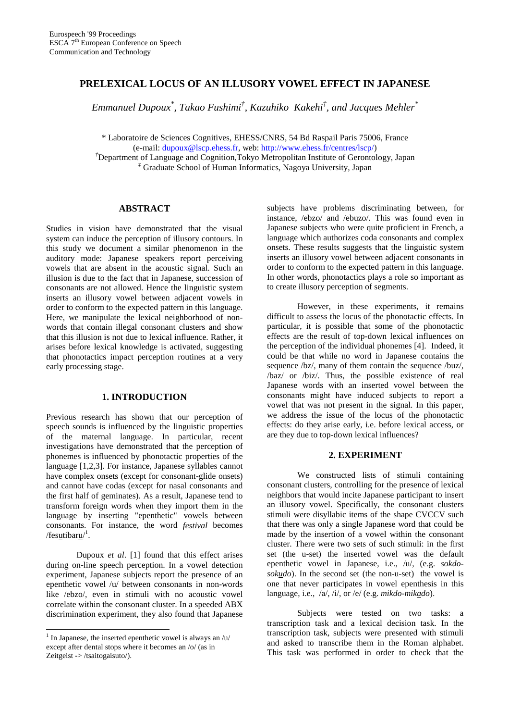## **PRELEXICAL LOCUS OF AN ILLUSORY VOWEL EFFECT IN JAPANESE**

 $E$ mmanuel Dupoux<sup>\*</sup>, Takao Fushimi<sup>†</sup>, Kazuhiko Kakehi<sup>‡</sup>, and Jacques Mehler<sup>\*</sup>

\* Laboratoire de Sciences Cognitives, EHESS/CNRS, 54 Bd Raspail Paris 75006, France (e-mail: dupoux@lscp.ehess.fr, web: http://www.ehess.fr/centres/lscp/)

*†*Department of Language and Cognition,Tokyo Metropolitan Institute of Gerontology, Japan *‡* Graduate School of Human Informatics, Nagoya University, Japan

# **ABSTRACT**

Studies in vision have demonstrated that the visual system can induce the perception of illusory contours. In this study we document a similar phenomenon in the auditory mode: Japanese speakers report perceiving vowels that are absent in the acoustic signal. Such an illusion is due to the fact that in Japanese, succession of consonants are not allowed. Hence the linguistic system inserts an illusory vowel between adjacent vowels in order to conform to the expected pattern in this language. Here, we manipulate the lexical neighborhood of nonwords that contain illegal consonant clusters and show that this illusion is not due to lexical influence. Rather, it arises before lexical knowledge is activated, suggesting that phonotactics impact perception routines at a very early processing stage.

## **1. INTRODUCTION**

Previous research has shown that our perception of speech sounds is influenced by the linguistic properties of the maternal language. In particular, recent investigations have demonstrated that the perception of phonemes is influenced by phonotactic properties of the language [1,2,3]. For instance, Japanese syllables cannot have complex onsets (except for consonant-glide onsets) and cannot have codas (except for nasal consonants and the first half of geminates). As a result, Japanese tend to transform foreign words when they import them in the language by inserting "epenthetic" vowels between consonants. For instance, the word *festival* becomes /fes<u>u</u>tibaru/<sup>1</sup>.

Dupoux *et al*. [1] found that this effect arises during on-line speech perception. In a vowel detection experiment, Japanese subjects report the presence of an epenthetic vowel /u/ between consonants in non-words like /ebzo/, even in stimuli with no acoustic vowel correlate within the consonant cluster. In a speeded ABX discrimination experiment, they also found that Japanese

-

subjects have problems discriminating between, for instance, /ebzo/ and /ebuzo/. This was found even in Japanese subjects who were quite proficient in French, a language which authorizes coda consonants and complex onsets. These results suggests that the linguistic system inserts an illusory vowel between adjacent consonants in order to conform to the expected pattern in this language. In other words, phonotactics plays a role so important as to create illusory perception of segments.

However, in these experiments, it remains difficult to assess the locus of the phonotactic effects. In particular, it is possible that some of the phonotactic effects are the result of top-down lexical influences on the perception of the individual phonemes [4]. Indeed, it could be that while no word in Japanese contains the sequence /bz/, many of them contain the sequence /buz/, /baz/ or /biz/. Thus, the possible existence of real Japanese words with an inserted vowel between the consonants might have induced subjects to report a vowel that was not present in the signal. In this paper, we address the issue of the locus of the phonotactic effects: do they arise early, i.e. before lexical access, or are they due to top-down lexical influences?

### **2. EXPERIMENT**

We constructed lists of stimuli containing consonant clusters, controlling for the presence of lexical neighbors that would incite Japanese participant to insert an illusory vowel. Specifically, the consonant clusters stimuli were disyllabic items of the shape CVCCV such that there was only a single Japanese word that could be made by the insertion of a vowel within the consonant cluster. There were two sets of such stimuli: in the first set (the u-set) the inserted vowel was the default epenthetic vowel in Japanese, i.e., /u/, (e.g. *sokdosokudo*). In the second set (the non-u-set) the vowel is one that never participates in vowel epenthesis in this language, i.e., /a/, /i/, or /e/ (e.g. *mikdo*-*mikado*).

Subjects were tested on two tasks: a transcription task and a lexical decision task. In the transcription task, subjects were presented with stimuli and asked to transcribe them in the Roman alphabet. This task was performed in order to check that the

<sup>&</sup>lt;sup>1</sup> In Japanese, the inserted epenthetic vowel is always an  $/u$ except after dental stops where it becomes an /o/ (as in Zeitgeist -> /tsaitogaisuto/).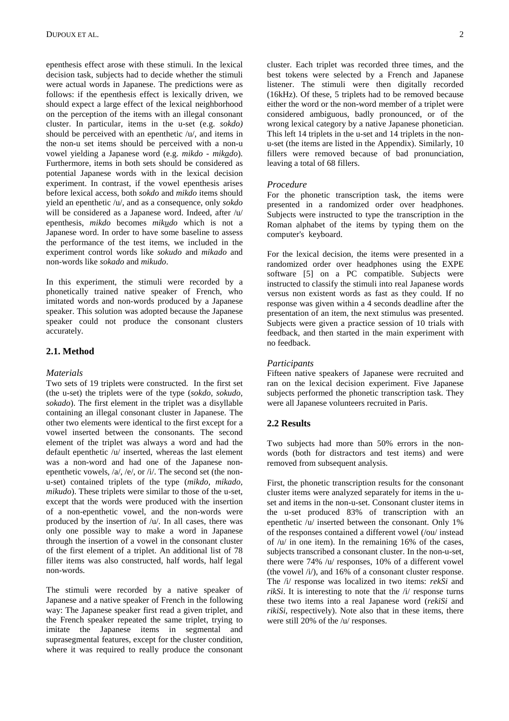epenthesis effect arose with these stimuli. In the lexical decision task, subjects had to decide whether the stimuli were actual words in Japanese. The predictions were as follows: if the epenthesis effect is lexically driven, we should expect a large effect of the lexical neighborhood on the perception of the items with an illegal consonant cluster. In particular, items in the u-set (e.g. *sokdo)* should be perceived with an epenthetic /u/, and items in the non-u set items should be perceived with a non-u vowel yielding a Japanese word (e.g. *mikdo - mikado*). Furthermore, items in both sets should be considered as potential Japanese words with in the lexical decision experiment. In contrast, if the vowel epenthesis arises before lexical access, both *sokdo* and *mikdo* items should yield an epenthetic /u/, and as a consequence, only *sokdo* will be considered as a Japanese word. Indeed, after /u/ epenthesis, *mikdo* becomes *mikudo* which is not a Japanese word. In order to have some baseline to assess the performance of the test items, we included in the experiment control words like *sokudo* and *mikado* and non-words like *sokado* and *mikudo*.

In this experiment, the stimuli were recorded by a phonetically trained native speaker of French, who imitated words and non-words produced by a Japanese speaker. This solution was adopted because the Japanese speaker could not produce the consonant clusters accurately.

## **2.1. Method**

#### *Materials*

Two sets of 19 triplets were constructed. In the first set (the u-set) the triplets were of the type (*sokdo, sokudo, sokado*). The first element in the triplet was a disyllable containing an illegal consonant cluster in Japanese. The other two elements were identical to the first except for a vowel inserted between the consonants. The second element of the triplet was always a word and had the default epenthetic /u/ inserted, whereas the last element was a non-word and had one of the Japanese nonepenthetic vowels, /a/, /e/, or /i/. The second set (the nonu-set) contained triplets of the type (*mikdo, mikado, mikudo*). These triplets were similar to those of the u-set, except that the words were produced with the insertion of a non-epenthetic vowel, and the non-words were produced by the insertion of  $/u$ . In all cases, there was only one possible way to make a word in Japanese through the insertion of a vowel in the consonant cluster of the first element of a triplet. An additional list of 78 filler items was also constructed, half words, half legal non-words.

The stimuli were recorded by a native speaker of Japanese and a native speaker of French in the following way: The Japanese speaker first read a given triplet, and the French speaker repeated the same triplet, trying to imitate the Japanese items in segmental and suprasegmental features, except for the cluster condition, where it was required to really produce the consonant

cluster. Each triplet was recorded three times, and the best tokens were selected by a French and Japanese listener. The stimuli were then digitally recorded (16kHz). Of these, 5 triplets had to be removed because either the word or the non-word member of a triplet were considered ambiguous, badly pronounced, or of the wrong lexical category by a native Japanese phonetician. This left 14 triplets in the u-set and 14 triplets in the nonu-set (the items are listed in the Appendix). Similarly, 10 fillers were removed because of bad pronunciation, leaving a total of 68 fillers.

#### *Procedure*

For the phonetic transcription task, the items were presented in a randomized order over headphones. Subjects were instructed to type the transcription in the Roman alphabet of the items by typing them on the computer's keyboard.

For the lexical decision, the items were presented in a randomized order over headphones using the EXPE software [5] on a PC compatible. Subjects were instructed to classify the stimuli into real Japanese words versus non existent words as fast as they could. If no response was given within a 4 seconds deadline after the presentation of an item, the next stimulus was presented. Subjects were given a practice session of 10 trials with feedback, and then started in the main experiment with no feedback.

#### *Participants*

Fifteen native speakers of Japanese were recruited and ran on the lexical decision experiment. Five Japanese subjects performed the phonetic transcription task. They were all Japanese volunteers recruited in Paris.

## **2.2 Results**

Two subjects had more than 50% errors in the nonwords (both for distractors and test items) and were removed from subsequent analysis.

First, the phonetic transcription results for the consonant cluster items were analyzed separately for items in the uset and items in the non-u-set. Consonant cluster items in the u-set produced 83% of transcription with an epenthetic /u/ inserted between the consonant. Only 1% of the responses contained a different vowel (/ou/ instead of  $/u$  in one item). In the remaining 16% of the cases, subjects transcribed a consonant cluster. In the non-u-set, there were 74% /u/ responses, 10% of a different vowel (the vowel /i/), and 16% of a consonant cluster response. The /i/ response was localized in two items: *rekSi* and *rikSi*. It is interesting to note that the  $\pi$  *rial* response turns these two items into a real Japanese word (*rekiSi* and *rikiSi*, respectively). Note also that in these items, there were still 20% of the /u/ responses.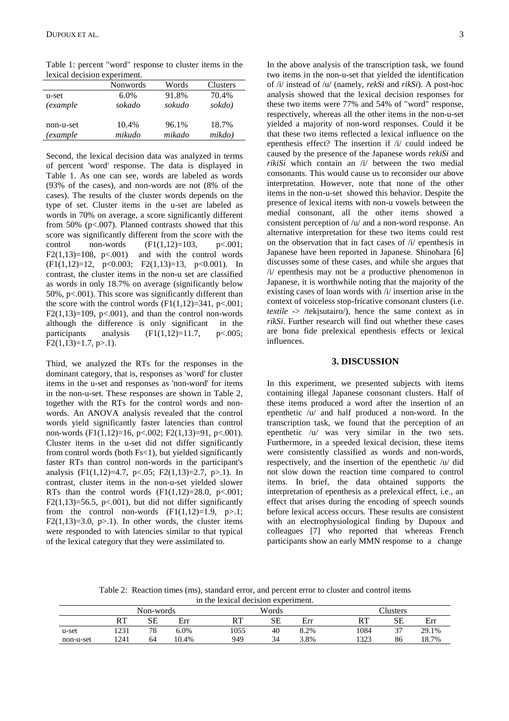Table 1: percent "word" response to cluster items in the lexical decision experiment.

|                  | Nonwords | Words  | Clusters |
|------------------|----------|--------|----------|
| u-set            | 6.0%     | 91.8%  | 70.4%    |
| <i>(example)</i> | sokado   | sokudo | sokdo)   |
|                  |          |        |          |
| non-u-set        | 10.4%    | 96.1%  | 18.7%    |
| (example)        | mikudo   | mikado | mikdo)   |

Second, the lexical decision data was analyzed in terms of percent 'word' response. The data is displayed in Table 1. As one can see, words are labeled as words (93% of the cases), and non-words are not (8% of the cases). The results of the cluster words depends on the type of set. Cluster items in the u-set are labeled as words in 70% on average, a score significantly different from 50% ( $p<.007$ ). Planned contrasts showed that this score was significantly different from the score with the control non-words  $(F1(1,12)=103, p<.001;$  $F2(1,13)=108$ ,  $p<.001$ ) and with the control words (F1(1,12)=12, p<0.003; F2(1,13)=13, p<0.001). In contrast, the cluster items in the non-u set are classified as words in only 18.7% on average (significantly below 50%, p<.001). This score was significantly different than the score with the control words  $(F1(1,12)=341, p<.001;$  $F2(1,13)=109$ ,  $p<0.001$ ), and than the control non-words although the difference is only significant in the participants analysis  $(F1(1,12)=11.7, p<.005;$  $F2(1,13)=1.7, p>1$ .

Third, we analyzed the RTs for the responses in the dominant category, that is, responses as 'word' for cluster items in the u-set and responses as 'non-word' for items in the non-u-set. These responses are shown in Table 2, together with the RTs for the control words and nonwords. An ANOVA analysis revealed that the control words yield significantly faster latencies than control non-words  $(F1(1,12)=16, p<.002; F2(1,13)=91, p<.001)$ . Cluster items in the u-set did not differ significantly from control words (both Fs<1), but yielded significantly faster RTs than control non-words in the participant's analysis (F1(1,12)=4.7, p<.05; F2(1,13)=2.7, p>.1). In contrast, cluster items in the non-u-set yielded slower RTs than the control words  $(F1(1,12)=28.0, p<.001;$ F2(1,13)=56.5, p<.001), but did not differ significantly from the control non-words  $(F1(1,12)=1.9, p>1;$  $F2(1,13)=3.0$ ,  $p>1$ ). In other words, the cluster items were responded to with latencies similar to that typical of the lexical category that they were assimilated to.

In the above analysis of the transcription task, we found two items in the non-u-set that yielded the identification of /i/ instead of /u/ (namely, *rekSi* and *rikSi*). A post-hoc analysis showed that the lexical decision responses for these two items were 77% and 54% of "word" response, respectively, whereas all the other items in the non-u-set yielded a majority of non-word responses. Could it be that these two items reflected a lexical influence on the epenthesis effect? The insertion if /i/ could indeed be caused by the presence of the Japanese words *rekiSi* and *rikiSi* which contain an /i/ between the two medial consonants. This would cause us to reconsider our above interpretation. However, note that none of the other items in the non-u-set showed this behavior. Despite the presence of lexical items with non-u vowels between the medial consonant, all the other items showed a consistent perception of /u/ and a non-word response. An alternative interpretation for these two items could rest on the observation that in fact cases of /i/ epenthesis in Japanese have been reported in Japanese. Shinohara [6] discusses some of these cases, and while she argues that /i/ epenthesis may not be a productive phenomenon in Japanese, it is worthwhile noting that the majority of the existing cases of loan words with /i/ insertion arise in the context of voiceless stop-fricative consonant clusters (i.e. *textile*  $\rightarrow$  /tekisutairo/), hence the same context as in *rikSi*. Further research will find out whether these cases are bona fide prelexical epenthesis effects or lexical influences.

### **3. DISCUSSION**

In this experiment, we presented subjects with items containing illegal Japanese consonant clusters. Half of these items produced a word after the insertion of an epenthetic /u/ and half produced a non-word. In the transcription task, we found that the perception of an epenthetic /u/ was very similar in the two sets. Furthermore, in a speeded lexical decision, these items were consistently classified as words and non-words, respectively, and the insertion of the epenthetic /u/ did not slow down the reaction time compared to control items. In brief, the data obtained supports the interpretation of epenthesis as a prelexical effect, i.e., an effect that arises during the encoding of speech sounds before lexical access occurs. These results are consistent with an electrophysiological finding by Dupoux and colleagues [7] who reported that whereas French participants show an early MMN response to a change

Table 2: Reaction times (ms), standard error, and percent error to cluster and control items in the lexical decision experiment.

|           |      | Non-words |       |      | Words |      |      | $\gamma$ lusters   |       |
|-----------|------|-----------|-------|------|-------|------|------|--------------------|-------|
|           | DТ   | SЕ        | Err   | DТ   | SE    | Err  | RT   | SE                 | Err   |
| u-set     | 1231 | 78        | 6.0%  | 1055 | 40    | 8.2% | 1084 | $\sim$<br><u>.</u> | 29.1% |
| non-u-set | 1241 | 64        | 10.4% | 949  | 34    | 3.8% | 1323 | 86                 | 18.7% |